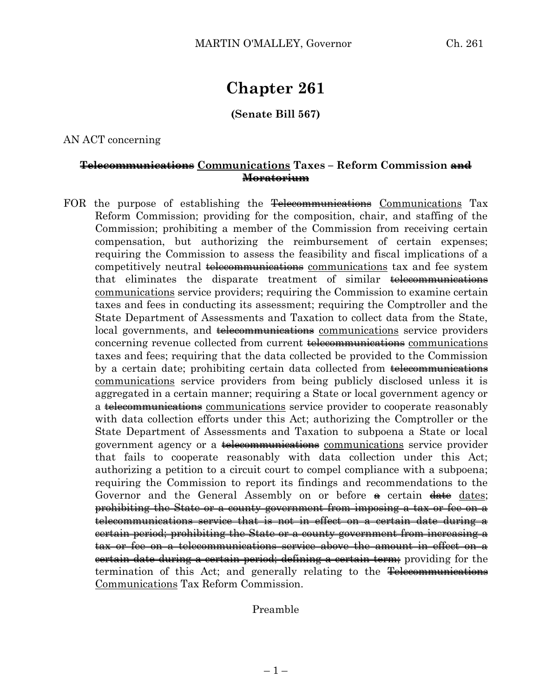# **Chapter 261**

### **(Senate Bill 567)**

AN ACT concerning

#### **Telecommunications Communications Taxes – Reform Commission and Moratorium**

FOR the purpose of establishing the Telecommunications Communications Tax Reform Commission; providing for the composition, chair, and staffing of the Commission; prohibiting a member of the Commission from receiving certain compensation, but authorizing the reimbursement of certain expenses; requiring the Commission to assess the feasibility and fiscal implications of a competitively neutral telecommunications communications tax and fee system that eliminates the disparate treatment of similar telecommunications communications service providers; requiring the Commission to examine certain taxes and fees in conducting its assessment; requiring the Comptroller and the State Department of Assessments and Taxation to collect data from the State, local governments, and telecommunications communications service providers concerning revenue collected from current <del>telecommunications</del> communications taxes and fees; requiring that the data collected be provided to the Commission by a certain date; prohibiting certain data collected from <del>telecommunications</del> communications service providers from being publicly disclosed unless it is aggregated in a certain manner; requiring a State or local government agency or a telecommunications communications service provider to cooperate reasonably with data collection efforts under this Act; authorizing the Comptroller or the State Department of Assessments and Taxation to subpoena a State or local government agency or a telecommunications communications service provider that fails to cooperate reasonably with data collection under this Act; authorizing a petition to a circuit court to compel compliance with a subpoena; requiring the Commission to report its findings and recommendations to the Governor and the General Assembly on or before  $\theta$  certain  $\theta$  dates; prohibiting the State or a county government from imposing a tax or fee on a telecommunications service that is not in effect on a certain date during a certain period; prohibiting the State or a county government from increasing a tax or fee on a telecommunications service above the amount in effect on a certain date during a certain period; defining a certain term; providing for the termination of this Act; and generally relating to the Telecommunications Communications Tax Reform Commission.

#### Preamble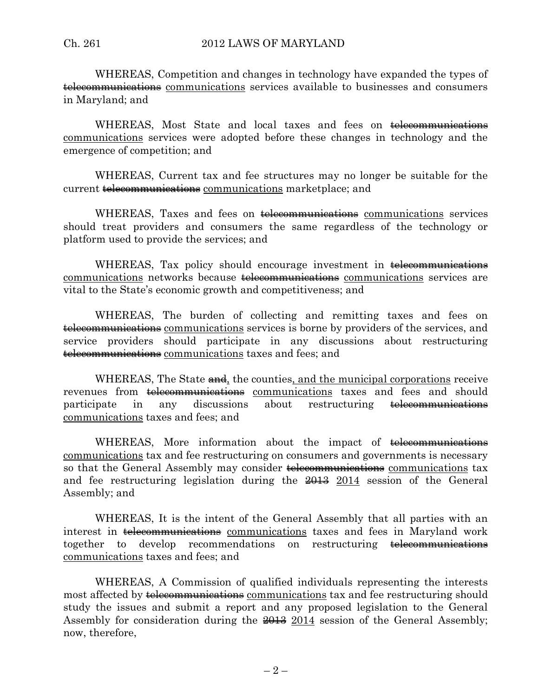WHEREAS, Competition and changes in technology have expanded the types of telecommunications communications services available to businesses and consumers in Maryland; and

WHEREAS, Most State and local taxes and fees on telecommunications communications services were adopted before these changes in technology and the emergence of competition; and

WHEREAS, Current tax and fee structures may no longer be suitable for the current telecommunications communications marketplace; and

WHEREAS, Taxes and fees on telecommunications communications services should treat providers and consumers the same regardless of the technology or platform used to provide the services; and

WHEREAS, Tax policy should encourage investment in telecommunications communications networks because telecommunications communications services are vital to the State's economic growth and competitiveness; and

WHEREAS, The burden of collecting and remitting taxes and fees on telecommunications communications services is borne by providers of the services, and service providers should participate in any discussions about restructuring telecommunications communications taxes and fees; and

WHEREAS, The State and, the counties, and the municipal corporations receive revenues from <del>telecommunications</del> communications taxes and fees and should participate in any discussions about restructuring telecommunications communications taxes and fees; and

WHEREAS, More information about the impact of <del>telecommunications</del> communications tax and fee restructuring on consumers and governments is necessary so that the General Assembly may consider telecommunications communications tax and fee restructuring legislation during the 2013 2014 session of the General Assembly; and

WHEREAS, It is the intent of the General Assembly that all parties with an interest in to telecommunications communications taxes and fees in Maryland work together to develop recommendations on restructuring telecommunications communications taxes and fees; and

WHEREAS, A Commission of qualified individuals representing the interests most affected by telecommunications communications tax and fee restructuring should study the issues and submit a report and any proposed legislation to the General Assembly for consideration during the  $\frac{2013}{2014}$  session of the General Assembly; now, therefore,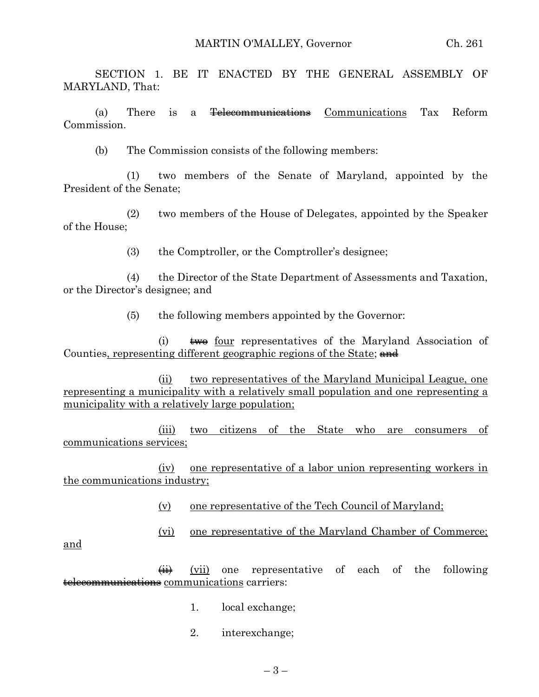SECTION 1. BE IT ENACTED BY THE GENERAL ASSEMBLY OF MARYLAND, That:

(a) There is a Telecommunications Communications Tax Reform Commission.

(b) The Commission consists of the following members:

(1) two members of the Senate of Maryland, appointed by the President of the Senate;

(2) two members of the House of Delegates, appointed by the Speaker of the House;

(3) the Comptroller, or the Comptroller's designee;

(4) the Director of the State Department of Assessments and Taxation, or the Director's designee; and

(5) the following members appointed by the Governor:

 $(i)$   $\leftrightarrow$  four representatives of the Maryland Association of Counties, representing different geographic regions of the State; and

(ii) two representatives of the Maryland Municipal League, one representing a municipality with a relatively small population and one representing a municipality with a relatively large population;

(iii) two citizens of the State who are consumers of communications services;

(iv) one representative of a labor union representing workers in the communications industry;

(v) one representative of the Tech Council of Maryland;

(vi) one representative of the Maryland Chamber of Commerce;

and

 $\overleftrightarrow{\mathbf{ii}}$  (vii) one representative of each of the following telecommunications communications carriers:

- 1. local exchange;
- 2. interexchange;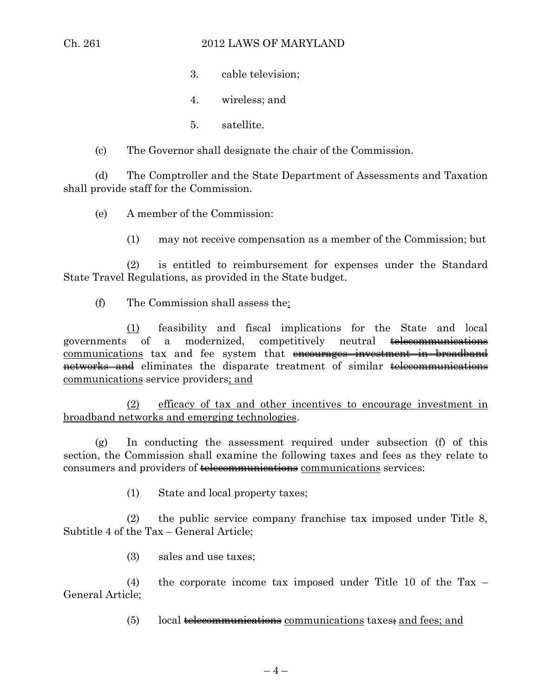#### Ch. 261 2012 LAWS OF MARYLAND

3. cable television;

4. wireless; and

- 5. satellite.
- (c) The Governor shall designate the chair of the Commission.

(d) The Comptroller and the State Department of Assessments and Taxation shall provide staff for the Commission.

(e) A member of the Commission:

(1) may not receive compensation as a member of the Commission; but

(2) is entitled to reimbursement for expenses under the Standard State Travel Regulations, as provided in the State budget.

(f) The Commission shall assess the:

(1) feasibility and fiscal implications for the State and local governments of a modernized, competitively neutral telecommunications communications tax and fee system that encourages investment in broadband networks and eliminates the disparate treatment of similar telecommunications communications service providers; and

(2) efficacy of tax and other incentives to encourage investment in broadband networks and emerging technologies.

(g) In conducting the assessment required under subsection (f) of this section, the Commission shall examine the following taxes and fees as they relate to consumers and providers of **telecommunications** communications services:

(1) State and local property taxes;

(2) the public service company franchise tax imposed under Title 8, Subtitle 4 of the Tax – General Article;

(3) sales and use taxes;

(4) the corporate income tax imposed under Title 10 of the Tax – General Article;

 $(5)$  local telecommunications communications taxes; and fees; and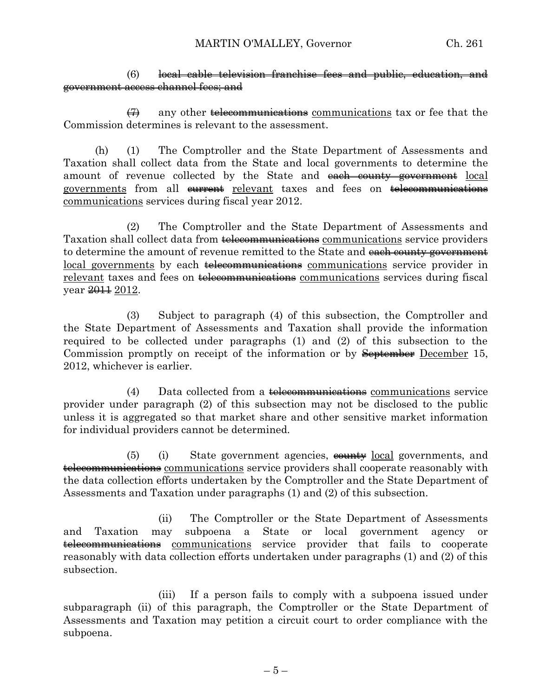#### (6) local cable television franchise fees and public, education, and government access channel fees; and

 $\left(7\right)$  any other telecommunications communications tax or fee that the Commission determines is relevant to the assessment.

(h) (1) The Comptroller and the State Department of Assessments and Taxation shall collect data from the State and local governments to determine the amount of revenue collected by the State and each county government local governments from all eurrent relevant taxes and fees on telecommunications communications services during fiscal year 2012.

(2) The Comptroller and the State Department of Assessments and Taxation shall collect data from telecommunications communications service providers to determine the amount of revenue remitted to the State and each county government local governments by each telecommunications communications service provider in relevant taxes and fees on telecommunications communications services during fiscal year  $2012$ .

(3) Subject to paragraph (4) of this subsection, the Comptroller and the State Department of Assessments and Taxation shall provide the information required to be collected under paragraphs (1) and (2) of this subsection to the Commission promptly on receipt of the information or by September December 15, 2012, whichever is earlier.

(4) Data collected from a telecommunications communications service provider under paragraph (2) of this subsection may not be disclosed to the public unless it is aggregated so that market share and other sensitive market information for individual providers cannot be determined.

 $(5)$  (i) State government agencies,  $\frac{1}{2}$  cold governments, and telecommunications communications service providers shall cooperate reasonably with the data collection efforts undertaken by the Comptroller and the State Department of Assessments and Taxation under paragraphs (1) and (2) of this subsection.

(ii) The Comptroller or the State Department of Assessments and Taxation may subpoena a State or local government agency or telecommunications communications service provider that fails to cooperate reasonably with data collection efforts undertaken under paragraphs (1) and (2) of this subsection.

(iii) If a person fails to comply with a subpoena issued under subparagraph (ii) of this paragraph, the Comptroller or the State Department of Assessments and Taxation may petition a circuit court to order compliance with the subpoena.